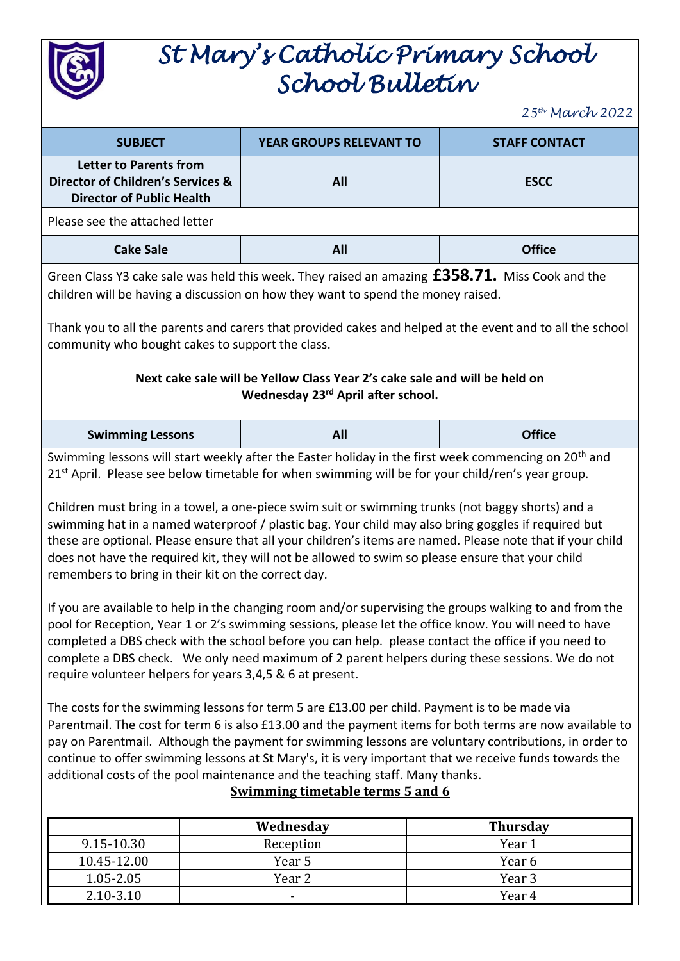

## *St Mary's Catholic Primary School School Bulletin*

*25th March 2022*

| <b>SUBJECT</b>                                                                                                                                                                                                                                                                                                                                                                                                                                                                                                                                                                                                                                                                                                                                                                                                                                                                                                                                                                                                                                                                                                                                                                                                                                                                                                                                                                                                                                                                                                                                                                                                                                               | YEAR GROUPS RELEVANT TO | <b>STAFF CONTACT</b> |  |  |
|--------------------------------------------------------------------------------------------------------------------------------------------------------------------------------------------------------------------------------------------------------------------------------------------------------------------------------------------------------------------------------------------------------------------------------------------------------------------------------------------------------------------------------------------------------------------------------------------------------------------------------------------------------------------------------------------------------------------------------------------------------------------------------------------------------------------------------------------------------------------------------------------------------------------------------------------------------------------------------------------------------------------------------------------------------------------------------------------------------------------------------------------------------------------------------------------------------------------------------------------------------------------------------------------------------------------------------------------------------------------------------------------------------------------------------------------------------------------------------------------------------------------------------------------------------------------------------------------------------------------------------------------------------------|-------------------------|----------------------|--|--|
| <b>Letter to Parents from</b><br>Director of Children's Services &<br><b>Director of Public Health</b>                                                                                                                                                                                                                                                                                                                                                                                                                                                                                                                                                                                                                                                                                                                                                                                                                                                                                                                                                                                                                                                                                                                                                                                                                                                                                                                                                                                                                                                                                                                                                       | All                     | <b>ESCC</b>          |  |  |
| Please see the attached letter                                                                                                                                                                                                                                                                                                                                                                                                                                                                                                                                                                                                                                                                                                                                                                                                                                                                                                                                                                                                                                                                                                                                                                                                                                                                                                                                                                                                                                                                                                                                                                                                                               |                         |                      |  |  |
| <b>Cake Sale</b>                                                                                                                                                                                                                                                                                                                                                                                                                                                                                                                                                                                                                                                                                                                                                                                                                                                                                                                                                                                                                                                                                                                                                                                                                                                                                                                                                                                                                                                                                                                                                                                                                                             | All                     | <b>Office</b>        |  |  |
| Green Class Y3 cake sale was held this week. They raised an amazing $£358.71.$ Miss Cook and the<br>children will be having a discussion on how they want to spend the money raised.                                                                                                                                                                                                                                                                                                                                                                                                                                                                                                                                                                                                                                                                                                                                                                                                                                                                                                                                                                                                                                                                                                                                                                                                                                                                                                                                                                                                                                                                         |                         |                      |  |  |
| Thank you to all the parents and carers that provided cakes and helped at the event and to all the school<br>community who bought cakes to support the class.                                                                                                                                                                                                                                                                                                                                                                                                                                                                                                                                                                                                                                                                                                                                                                                                                                                                                                                                                                                                                                                                                                                                                                                                                                                                                                                                                                                                                                                                                                |                         |                      |  |  |
| Next cake sale will be Yellow Class Year 2's cake sale and will be held on<br>Wednesday 23rd April after school.                                                                                                                                                                                                                                                                                                                                                                                                                                                                                                                                                                                                                                                                                                                                                                                                                                                                                                                                                                                                                                                                                                                                                                                                                                                                                                                                                                                                                                                                                                                                             |                         |                      |  |  |
| <b>Swimming Lessons</b>                                                                                                                                                                                                                                                                                                                                                                                                                                                                                                                                                                                                                                                                                                                                                                                                                                                                                                                                                                                                                                                                                                                                                                                                                                                                                                                                                                                                                                                                                                                                                                                                                                      | All                     | <b>Office</b>        |  |  |
| 21 <sup>st</sup> April. Please see below timetable for when swimming will be for your child/ren's year group.<br>Children must bring in a towel, a one-piece swim suit or swimming trunks (not baggy shorts) and a<br>swimming hat in a named waterproof / plastic bag. Your child may also bring goggles if required but<br>these are optional. Please ensure that all your children's items are named. Please note that if your child<br>does not have the required kit, they will not be allowed to swim so please ensure that your child<br>remembers to bring in their kit on the correct day.<br>If you are available to help in the changing room and/or supervising the groups walking to and from the<br>pool for Reception, Year 1 or 2's swimming sessions, please let the office know. You will need to have<br>completed a DBS check with the school before you can help. please contact the office if you need to<br>complete a DBS check. We only need maximum of 2 parent helpers during these sessions. We do not<br>require volunteer helpers for years 3,4,5 & 6 at present.<br>The costs for the swimming lessons for term 5 are £13.00 per child. Payment is to be made via<br>Parentmail. The cost for term 6 is also £13.00 and the payment items for both terms are now available to<br>pay on Parentmail. Although the payment for swimming lessons are voluntary contributions, in order to<br>continue to offer swimming lessons at St Mary's, it is very important that we receive funds towards the<br>additional costs of the pool maintenance and the teaching staff. Many thanks.<br><b>Swimming timetable terms 5 and 6</b> |                         |                      |  |  |
|                                                                                                                                                                                                                                                                                                                                                                                                                                                                                                                                                                                                                                                                                                                                                                                                                                                                                                                                                                                                                                                                                                                                                                                                                                                                                                                                                                                                                                                                                                                                                                                                                                                              | Wednesday               | <b>Thursday</b>      |  |  |
| 9.15-10.30                                                                                                                                                                                                                                                                                                                                                                                                                                                                                                                                                                                                                                                                                                                                                                                                                                                                                                                                                                                                                                                                                                                                                                                                                                                                                                                                                                                                                                                                                                                                                                                                                                                   | Reception               | Year 1               |  |  |
| 10.45-12.00                                                                                                                                                                                                                                                                                                                                                                                                                                                                                                                                                                                                                                                                                                                                                                                                                                                                                                                                                                                                                                                                                                                                                                                                                                                                                                                                                                                                                                                                                                                                                                                                                                                  | Year 5                  | Year 6               |  |  |
| 1.05-2.05                                                                                                                                                                                                                                                                                                                                                                                                                                                                                                                                                                                                                                                                                                                                                                                                                                                                                                                                                                                                                                                                                                                                                                                                                                                                                                                                                                                                                                                                                                                                                                                                                                                    | Year 2                  | Year <sub>3</sub>    |  |  |
| 2.10-3.10                                                                                                                                                                                                                                                                                                                                                                                                                                                                                                                                                                                                                                                                                                                                                                                                                                                                                                                                                                                                                                                                                                                                                                                                                                                                                                                                                                                                                                                                                                                                                                                                                                                    |                         | Year 4               |  |  |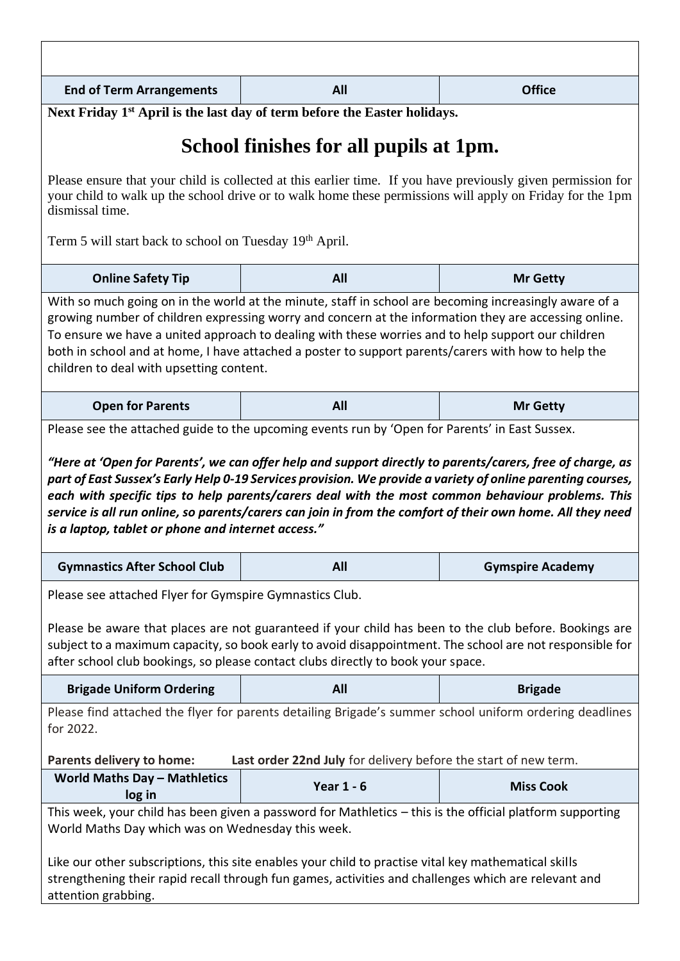| <b>End of Term Arrangements</b>                                                                                                                                                                                                                                                                                                                                                | All                                                                                   | <b>Office</b>           |  |  |
|--------------------------------------------------------------------------------------------------------------------------------------------------------------------------------------------------------------------------------------------------------------------------------------------------------------------------------------------------------------------------------|---------------------------------------------------------------------------------------|-------------------------|--|--|
|                                                                                                                                                                                                                                                                                                                                                                                | Next Friday 1 <sup>st</sup> April is the last day of term before the Easter holidays. |                         |  |  |
| School finishes for all pupils at 1pm.                                                                                                                                                                                                                                                                                                                                         |                                                                                       |                         |  |  |
| Please ensure that your child is collected at this earlier time. If you have previously given permission for<br>your child to walk up the school drive or to walk home these permissions will apply on Friday for the 1pm<br>dismissal time.                                                                                                                                   |                                                                                       |                         |  |  |
| Term 5 will start back to school on Tuesday 19th April.                                                                                                                                                                                                                                                                                                                        |                                                                                       |                         |  |  |
| <b>Online Safety Tip</b>                                                                                                                                                                                                                                                                                                                                                       | All                                                                                   | <b>Mr Getty</b>         |  |  |
| growing number of children expressing worry and concern at the information they are accessing online.<br>To ensure we have a united approach to dealing with these worries and to help support our children<br>both in school and at home, I have attached a poster to support parents/carers with how to help the<br>children to deal with upsetting content.                 |                                                                                       |                         |  |  |
| <b>Open for Parents</b>                                                                                                                                                                                                                                                                                                                                                        | All                                                                                   | <b>Mr Getty</b>         |  |  |
| each with specific tips to help parents/carers deal with the most common behaviour problems. This<br>service is all run online, so parents/carers can join in from the comfort of their own home. All they need<br>is a laptop, tablet or phone and internet access."                                                                                                          |                                                                                       |                         |  |  |
| <b>Gymnastics After School Club</b>                                                                                                                                                                                                                                                                                                                                            | All                                                                                   | <b>Gymspire Academy</b> |  |  |
| Please see attached Flyer for Gymspire Gymnastics Club.<br>Please be aware that places are not guaranteed if your child has been to the club before. Bookings are<br>subject to a maximum capacity, so book early to avoid disappointment. The school are not responsible for<br>after school club bookings, so please contact clubs directly to book your space.              |                                                                                       |                         |  |  |
| <b>Brigade Uniform Ordering</b>                                                                                                                                                                                                                                                                                                                                                | All                                                                                   | <b>Brigade</b>          |  |  |
| Please find attached the flyer for parents detailing Brigade's summer school uniform ordering deadlines<br>for 2022.<br>Parents delivery to home:<br>Last order 22nd July for delivery before the start of new term.                                                                                                                                                           |                                                                                       |                         |  |  |
| <b>World Maths Day - Mathletics</b>                                                                                                                                                                                                                                                                                                                                            | <b>Year 1 - 6</b>                                                                     | <b>Miss Cook</b>        |  |  |
| log in                                                                                                                                                                                                                                                                                                                                                                         |                                                                                       |                         |  |  |
| This week, your child has been given a password for Mathletics - this is the official platform supporting<br>World Maths Day which was on Wednesday this week.<br>Like our other subscriptions, this site enables your child to practise vital key mathematical skills<br>strengthening their rapid recall through fun games, activities and challenges which are relevant and |                                                                                       |                         |  |  |
| attention grabbing.                                                                                                                                                                                                                                                                                                                                                            |                                                                                       |                         |  |  |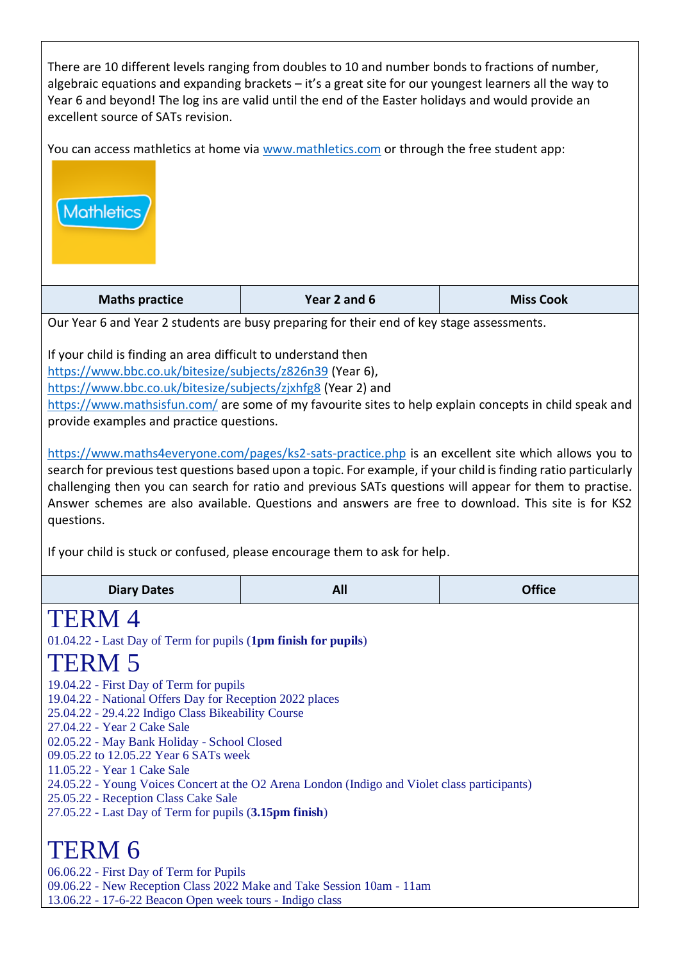There are 10 different levels ranging from doubles to 10 and number bonds to fractions of number, algebraic equations and expanding brackets – it's a great site for our youngest learners all the way to Year 6 and beyond! The log ins are valid until the end of the Easter holidays and would provide an excellent source of SATs revision.

You can access mathletics at home via www.mathletics.com or through the free student app:



| <b>Maths practice</b> | Year 2 and 6 | <b>Miss Cook</b> |
|-----------------------|--------------|------------------|
|                       |              |                  |

Our Year 6 and Year 2 students are busy preparing for their end of key stage assessments.

If your child is finding an area difficult to understand then

<https://www.bbc.co.uk/bitesize/subjects/z826n39> (Year 6),

<https://www.bbc.co.uk/bitesize/subjects/zjxhfg8> (Year 2) and

<https://www.mathsisfun.com/> are some of my favourite sites to help explain concepts in child speak and provide examples and practice questions.

<https://www.maths4everyone.com/pages/ks2-sats-practice.php> is an excellent site which allows you to search for previous test questions based upon a topic. For example, if your child is finding ratio particularly challenging then you can search for ratio and previous SATs questions will appear for them to practise. Answer schemes are also available. Questions and answers are free to download. This site is for KS2 questions.

If your child is stuck or confused, please encourage them to ask for help.

| <b>Diary Dates</b>                                                                                                                    | All | <b>Office</b> |  |  |
|---------------------------------------------------------------------------------------------------------------------------------------|-----|---------------|--|--|
| <b>TERM4</b>                                                                                                                          |     |               |  |  |
| 01.04.22 - Last Day of Term for pupils (1pm finish for pupils)                                                                        |     |               |  |  |
| TERM 5                                                                                                                                |     |               |  |  |
| 19.04.22 - First Day of Term for pupils                                                                                               |     |               |  |  |
| 19.04.22 - National Offers Day for Reception 2022 places                                                                              |     |               |  |  |
| 25.04.22 - 29.4.22 Indigo Class Bikeability Course<br>27.04.22 - Year 2 Cake Sale                                                     |     |               |  |  |
| 02.05.22 - May Bank Holiday - School Closed                                                                                           |     |               |  |  |
| 09.05.22 to 12.05.22 Year 6 SATs week                                                                                                 |     |               |  |  |
| 11.05.22 - Year 1 Cake Sale                                                                                                           |     |               |  |  |
| 24.05.22 - Young Voices Concert at the O2 Arena London (Indigo and Violet class participants)<br>25.05.22 - Reception Class Cake Sale |     |               |  |  |
| 27.05.22 - Last Day of Term for pupils (3.15pm finish)                                                                                |     |               |  |  |
|                                                                                                                                       |     |               |  |  |
| TERM 6                                                                                                                                |     |               |  |  |
| 06.06.22 - First Day of Term for Pupils                                                                                               |     |               |  |  |
| 09.06.22 - New Reception Class 2022 Make and Take Session 10am - 11am                                                                 |     |               |  |  |
| 13.06.22 - 17-6-22 Beacon Open week tours - Indigo class                                                                              |     |               |  |  |